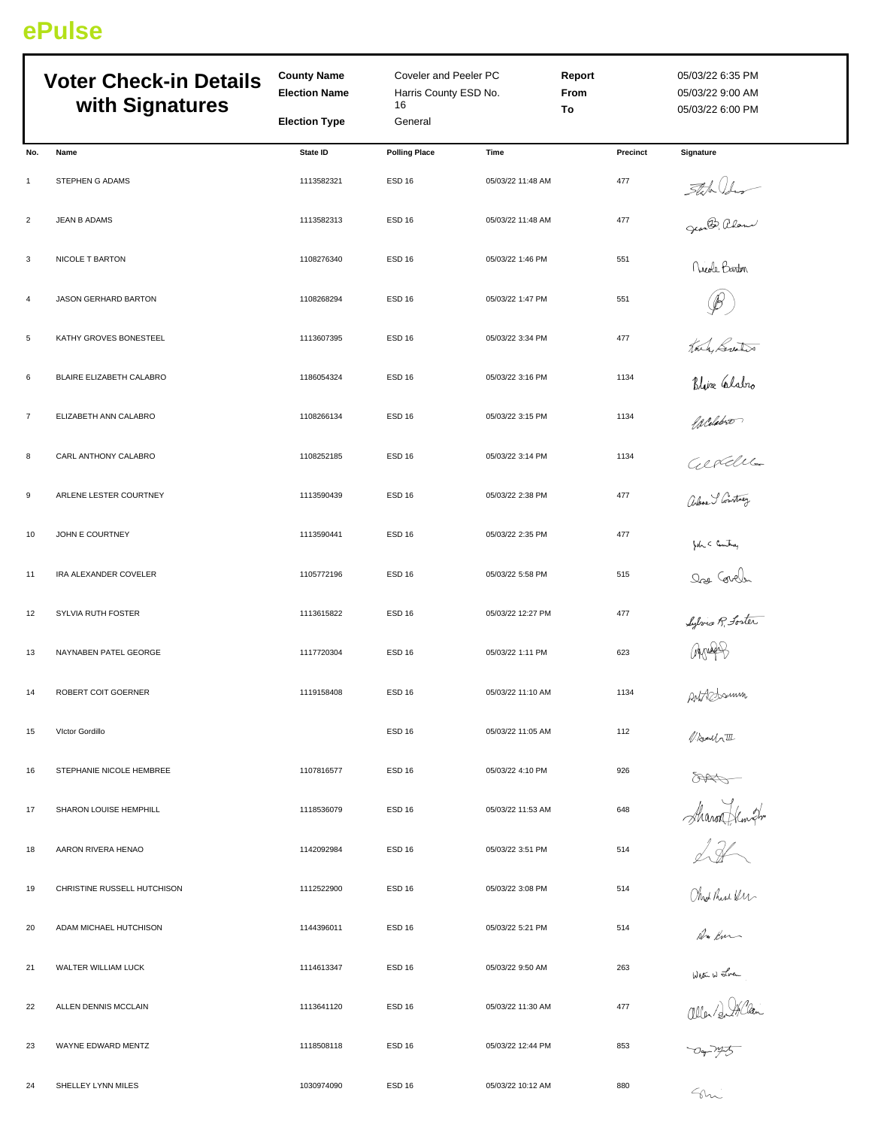## **ePulse**

| <b>Voter Check-in Details</b><br>with Signatures |                             | <b>County Name</b><br><b>Election Name</b> | Coveler and Peeler PC<br>Harris County ESD No.<br>16 |                   | Report<br>From<br>To | 05/03/22 6:35 PM<br>05/03/22 9:00 AM<br>05/03/22 6:00 PM  |  |
|--------------------------------------------------|-----------------------------|--------------------------------------------|------------------------------------------------------|-------------------|----------------------|-----------------------------------------------------------|--|
|                                                  |                             | <b>Election Type</b>                       | General                                              |                   |                      |                                                           |  |
| No.                                              | Name                        | State ID                                   | <b>Polling Place</b>                                 | <b>Time</b>       | Precinct             | <b>Signature</b>                                          |  |
| $\mathbf{1}$                                     | STEPHEN G ADAMS             | 1113582321                                 | <b>ESD 16</b>                                        | 05/03/22 11:48 AM | 477                  |                                                           |  |
| $\overline{c}$                                   | JEAN B ADAMS                | 1113582313                                 | ESD <sub>16</sub>                                    | 05/03/22 11:48 AM | 477                  | State Ideas                                               |  |
| 3                                                | NICOLE T BARTON             | 1108276340                                 | <b>ESD 16</b>                                        | 05/03/22 1:46 PM  | 551                  | .<br>Nicole Barton                                        |  |
| $\overline{a}$                                   | JASON GERHARD BARTON        | 1108268294                                 | <b>ESD 16</b>                                        | 05/03/22 1:47 PM  | 551                  |                                                           |  |
| 5                                                | KATHY GROVES BONESTEEL      | 1113607395                                 | ESD <sub>16</sub>                                    | 05/03/22 3:34 PM  | 477                  |                                                           |  |
| 6                                                | BLAIRE ELIZABETH CALABRO    | 1186054324                                 | <b>ESD 16</b>                                        | 05/03/22 3:16 PM  | 1134                 | Toute Greaters<br>Blive Clabro<br>Aldora<br>Clove Stowton |  |
| $\overline{7}$                                   | ELIZABETH ANN CALABRO       | 1108266134                                 | <b>ESD 16</b>                                        | 05/03/22 3:15 PM  | 1134                 |                                                           |  |
| 8                                                | CARL ANTHONY CALABRO        | 1108252185                                 | <b>ESD 16</b>                                        | 05/03/22 3:14 PM  | 1134                 |                                                           |  |
| 9                                                | ARLENE LESTER COURTNEY      | 1113590439                                 | <b>ESD 16</b>                                        | 05/03/22 2:38 PM  | 477                  |                                                           |  |
| 10                                               | JOHN E COURTNEY             | 1113590441                                 | ESD <sub>16</sub>                                    | 05/03/22 2:35 PM  | 477                  | $h < \frac{1}{2}$                                         |  |
| 11                                               | IRA ALEXANDER COVELER       | 1105772196                                 | <b>ESD 16</b>                                        | 05/03/22 5:58 PM  | 515                  | Ore Covel                                                 |  |
| 12                                               | <b>SYLVIA RUTH FOSTER</b>   | 1113615822                                 | <b>ESD 16</b>                                        | 05/03/22 12:27 PM | 477                  |                                                           |  |
| 13                                               | NAYNABEN PATEL GEORGE       | 1117720304                                 | <b>ESD 16</b>                                        | 05/03/22 1:11 PM  | 623                  | $4 \pi 4$                                                 |  |
| 14                                               | ROBERT COIT GOERNER         | 1119158408                                 | ESD <sub>16</sub>                                    | 05/03/22 11:10 AM | 1134                 | ANTRODOMIN                                                |  |
| 15                                               | Victor Gordillo             |                                            | <b>ESD 16</b>                                        | 05/03/22 11:05 AM | 112                  | Noulatt                                                   |  |
| 16                                               | STEPHANIE NICOLE HEMBREE    | 1107816577                                 | <b>ESD 16</b>                                        | 05/03/22 4:10 PM  | 926                  | 8                                                         |  |
| 17                                               | SHARON LOUISE HEMPHILL      | 1118536079                                 | <b>ESD 16</b>                                        | 05/03/22 11:53 AM | 648                  | Maron Henrike                                             |  |
| 18                                               | AARON RIVERA HENAO          | 1142092984                                 | <b>ESD 16</b>                                        | 05/03/22 3:51 PM  | 514                  |                                                           |  |
| 19                                               | CHRISTINE RUSSELL HUTCHISON | 1112522900                                 | ESD <sub>16</sub>                                    | 05/03/22 3:08 PM  | 514                  |                                                           |  |
| 20                                               | ADAM MICHAEL HUTCHISON      | 1144396011                                 | <b>ESD 16</b>                                        | 05/03/22 5:21 PM  | 514                  |                                                           |  |
| 21                                               | WALTER WILLIAM LUCK         | 1114613347                                 | ESD <sub>16</sub>                                    | 05/03/22 9:50 AM  | 263                  | WE W Jra<br>allen/gr/han<br>Dr 195                        |  |
| 22                                               | ALLEN DENNIS MCCLAIN        | 1113641120                                 | ESD 16                                               | 05/03/22 11:30 AM | 477                  |                                                           |  |
| 23                                               | WAYNE EDWARD MENTZ          | 1118508118                                 | <b>ESD 16</b>                                        | 05/03/22 12:44 PM | 853                  |                                                           |  |
| 24                                               | SHELLEY LYNN MILES          | 1030974090                                 | ESD <sub>16</sub>                                    | 05/03/22 10:12 AM | 880                  | $C_{\Lambda}$                                             |  |